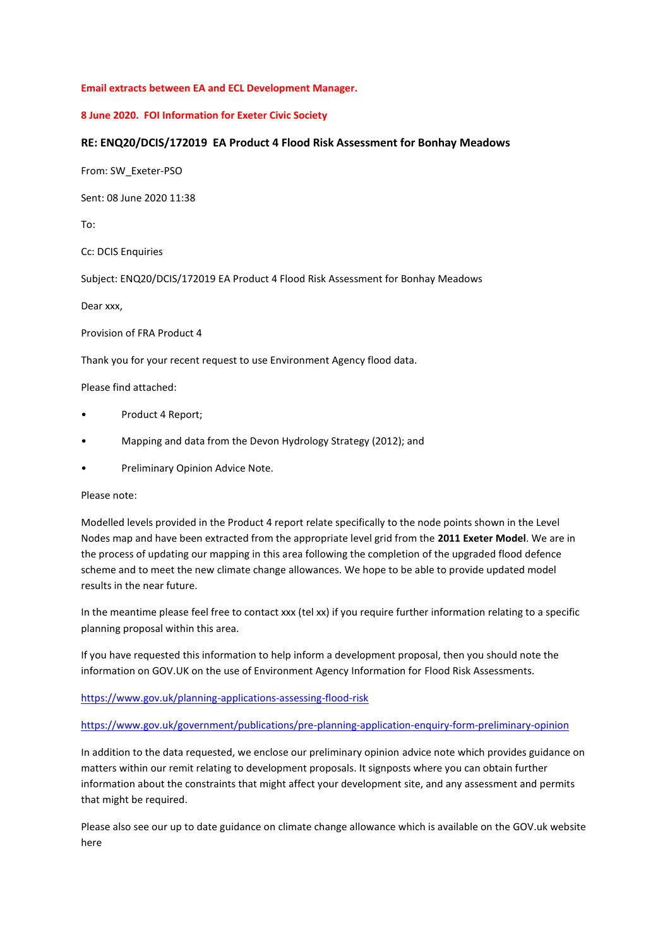## **Email extracts between EA and ECL Development Manager.**

## **8 June 2020. FOI Information for Exeter Civic Society**

## **RE: ENQ20/DCIS/172019 EA Product 4 Flood Risk Assessment for Bonhay Meadows**

From: SW\_Exeter-PSO

Sent: 08 June 2020 11:38

To:

Cc: DCIS Enquiries

Subject: ENQ20/DCIS/172019 EA Product 4 Flood Risk Assessment for Bonhay Meadows

Dear xxx,

Provision of FRA Product 4

Thank you for your recent request to use Environment Agency flood data.

Please find attached:

- Product 4 Report;
- Mapping and data from the Devon Hydrology Strategy (2012); and
- Preliminary Opinion Advice Note.

Please note:

Modelled levels provided in the Product 4 report relate specifically to the node points shown in the Level Nodes map and have been extracted from the appropriate level grid from the **2011 Exeter Model**. We are in the process of updating our mapping in this area following the completion of the upgraded flood defence scheme and to meet the new climate change allowances. We hope to be able to provide updated model results in the near future.

In the meantime please feel free to contact xxx (tel xx) if you require further information relating to a specific planning proposal within this area.

If you have requested this information to help inform a development proposal, then you should note the information on GOV.UK on the use of Environment Agency Information for Flood Risk Assessments.

<https://www.gov.uk/planning-applications-assessing-flood-risk>

## <https://www.gov.uk/government/publications/pre-planning-application-enquiry-form-preliminary-opinion>

In addition to the data requested, we enclose our preliminary opinion advice note which provides guidance on matters within our remit relating to development proposals. It signposts where you can obtain further information about the constraints that might affect your development site, and any assessment and permits that might be required.

Please also see our up to date guidance on climate change allowance which is available on the GOV.uk website here